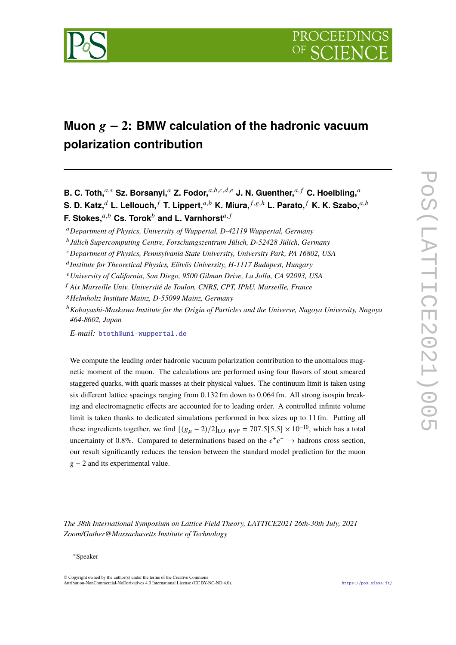

# Muon  $g - 2$ : BMW calculation of the hadronic vacuum **polarization contribution**

**B. C. Toth,**<sup>a,\*</sup> Sz. Borsanyi,<sup>a</sup> Z. Fodor,<sup>a,b,c,d,e</sup> J. N. Guenther,<sup>a,f</sup> C. Hoelbling,<sup>a</sup> **S. D. Katz,**<sup> $d$ </sup> **L. Lellouch,**  $f$  **T. Lippert,**  $a,b$  **K. Miura,**  $f$ ,  $g$ ,  $h$  **L. Parato,**  $f$  **K. K. Szabo,**  $a$ ,  $b$ **F. Stokes,** $a,b$  Cs. Torok $^b$  and L. Varnhorst $^{a,f}$ 

*E-mail:* [btoth@uni-wuppertal.de](mailto:btoth@uni-wuppertal.de)

We compute the leading order hadronic vacuum polarization contribution to the anomalous magnetic moment of the muon. The calculations are performed using four flavors of stout smeared staggered quarks, with quark masses at their physical values. The continuum limit is taken using six different lattice spacings ranging from 0.132 fm down to 0.064 fm. All strong isospin breaking and electromagnetic effects are accounted for to leading order. A controlled infinite volume limit is taken thanks to dedicated simulations performed in box sizes up to 11 fm. Putting all these ingredients together, we find  $[(g_{\mu} - 2)/2]_{\text{LO-HVP}} = 707.5[5.5] \times 10^{-10}$ , which has a total uncertainty of 0.8%. Compared to determinations based on the  $e^+e^- \rightarrow$  hadrons cross section, our result significantly reduces the tension between the standard model prediction for the muon  $g - 2$  and its experimental value.

*The 38th International Symposium on Lattice Field Theory, LATTICE2021 26th-30th July, 2021 Zoom/Gather@Massachusetts Institute of Technology*

<sup>𝑎</sup>*Department of Physics, University of Wuppertal, D-42119 Wuppertal, Germany*

𝑏 *Jülich Supercomputing Centre, Forschungszentrum Jülich, D-52428 Jülich, Germany*

<sup>𝑐</sup>*Department of Physics, Pennsylvania State University, University Park, PA 16802, USA*

<sup>&</sup>lt;sup>d</sup> Institute for Theoretical Physics, Eötvös University, H-1117 Budapest, Hungary

<sup>𝑒</sup>*University of California, San Diego, 9500 Gilman Drive, La Jolla, CA 92093, USA*

<sup>𝑓</sup> *Aix Marseille Univ, Université de Toulon, CNRS, CPT, IPhU, Marseille, France*

<sup>𝑔</sup>*Helmholtz Institute Mainz, D-55099 Mainz, Germany*

<sup>ℎ</sup>*Kobayashi-Maskawa Institute for the Origin of Particles and the Universe, Nagoya University, Nagoya 464-8602, Japan*

<sup>∗</sup>Speaker

<sup>©</sup> Copyright owned by the author(s) under the terms of the Creative Commons Attribution-NonCommercial-NoDerivatives 4.0 International License (CC BY-NC-ND 4.0). <https://pos.sissa.it/>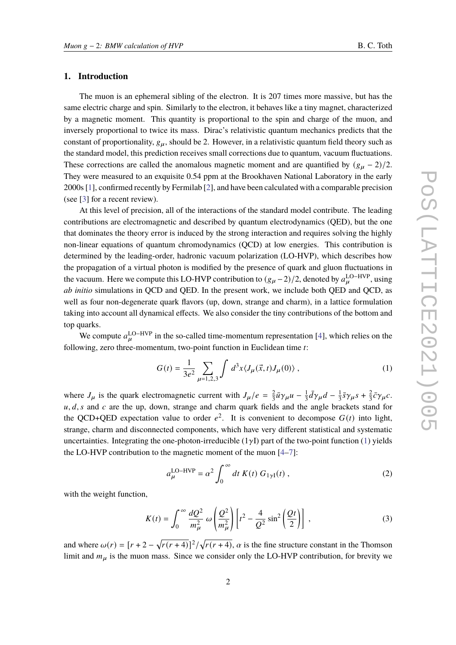## **1. Introduction**

The muon is an ephemeral sibling of the electron. It is 207 times more massive, but has the same electric charge and spin. Similarly to the electron, it behaves like a tiny magnet, characterized by a magnetic moment. This quantity is proportional to the spin and charge of the muon, and inversely proportional to twice its mass. Dirac's relativistic quantum mechanics predicts that the constant of proportionality,  $g_{\mu}$ , should be 2. However, in a relativistic quantum field theory such as the standard model, this prediction receives small corrections due to quantum, vacuum fluctuations. These corrections are called the anomalous magnetic moment and are quantified by  $(g_{\mu} - 2)/2$ . They were measured to an exquisite 0.54 ppm at the Brookhaven National Laboratory in the early 2000s [\[1](#page-15-0)], confirmed recently by Fermilab [\[2\]](#page-15-1), and have been calculated with a comparable precision (see [\[3\]](#page-15-2) for a recent review).

At this level of precision, all of the interactions of the standard model contribute. The leading contributions are electromagnetic and described by quantum electrodynamics (QED), but the one that dominates the theory error is induced by the strong interaction and requires solving the highly non-linear equations of quantum chromodynamics (QCD) at low energies. This contribution is determined by the leading-order, hadronic vacuum polarization (LO-HVP), which describes how the propagation of a virtual photon is modified by the presence of quark and gluon fluctuations in the vacuum. Here we compute this LO-HVP contribution to  $(g_{\mu}-2)/2$ , denoted by  $a_{\mu}^{\text{LO-HVP}}$ , using *ab initio* simulations in QCD and QED. In the present work, we include both QED and QCD, as well as four non-degenerate quark flavors (up, down, strange and charm), in a lattice formulation taking into account all dynamical effects. We also consider the tiny contributions of the bottom and top quarks.

We compute  $a_{\mu}^{\text{LO-HVP}}$  in the so-called time-momentum representation [\[4](#page-15-3)], which relies on the following, zero three-momentum, two-point function in Euclidean time  $t$ :

<span id="page-1-0"></span>
$$
G(t) = \frac{1}{3e^2} \sum_{\mu=1,2,3} \int d^3x \langle J_\mu(\vec{x},t) J_\mu(0) \rangle , \qquad (1)
$$

where  $J_{\mu}$  is the quark electromagnetic current with  $J_{\mu}/e = \frac{2}{3}$  $\frac{2}{3}\bar{u}\gamma_{\mu}u - \frac{1}{3}$  $\frac{1}{3}\bar{d}\gamma_{\mu}d - \frac{1}{3}$  $\frac{1}{3}\bar{s}\gamma_\mu s + \frac{2}{3}$  $\frac{2}{3}\bar{c}\gamma_{\mu}c.$  $u, d, s$  and c are the up, down, strange and charm quark fields and the angle brackets stand for the QCD+QED expectation value to order  $e^2$ . It is convenient to decompose  $G(t)$  into light, strange, charm and disconnected components, which have very different statistical and systematic uncertainties. Integrating the one-photon-irreducible  $(1\gamma I)$  part of the two-point function [\(1\)](#page-1-0) yields the LO-HVP contribution to the magnetic moment of the muon [\[4](#page-15-3)[–7](#page-15-4)]:

<span id="page-1-1"></span>
$$
a_{\mu}^{\text{LO-HVP}} = \alpha^2 \int_0^{\infty} dt \ K(t) \ G_{1\gamma I}(t) \ , \tag{2}
$$

with the weight function,

$$
K(t) = \int_0^\infty \frac{dQ^2}{m_\mu^2} \omega \left(\frac{Q^2}{m_\mu^2}\right) \left[t^2 - \frac{4}{Q^2} \sin^2\left(\frac{Qt}{2}\right)\right] \,,\tag{3}
$$

and where  $\omega(r) = [r + 2 - \sqrt{r(r+4)}]^2 / \sqrt{r(r+4)}$ ,  $\alpha$  is the fine structure constant in the Thomson limit and  $m_{\mu}$  is the muon mass. Since we consider only the LO-HVP contribution, for brevity we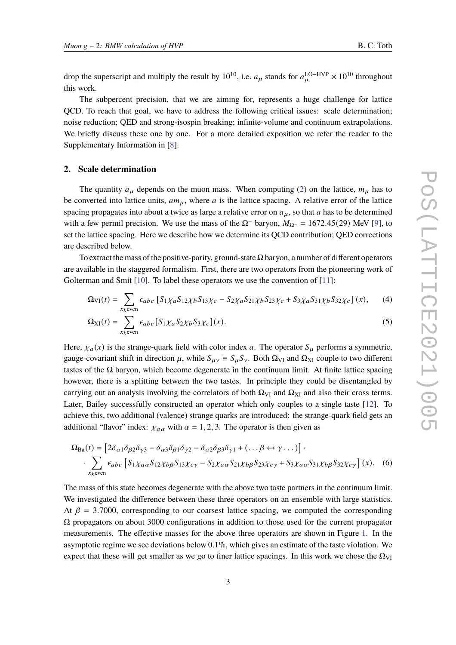drop the superscript and multiply the result by 10<sup>10</sup>, i.e.  $a_{\mu}$  stands for  $a_{\mu}^{\text{LO-HVP}} \times 10^{10}$  throughout this work.

The subpercent precision, that we are aiming for, represents a huge challenge for lattice QCD. To reach that goal, we have to address the following critical issues: scale determination; noise reduction; QED and strong-isospin breaking; infinite-volume and continuum extrapolations. We briefly discuss these one by one. For a more detailed exposition we refer the reader to the Supplementary Information in [\[8](#page-15-5)].

#### **2. Scale determination**

The quantity  $a_{\mu}$  depends on the muon mass. When computing [\(2\)](#page-1-1) on the lattice,  $m_{\mu}$  has to be converted into lattice units,  $am_{\mu}$ , where a is the lattice spacing. A relative error of the lattice spacing propagates into about a twice as large a relative error on  $a_{\mu}$ , so that a has to be determined with a few permil precision. We use the mass of the  $\Omega^-$  baryon,  $M_{\Omega^-} = 1672.45(29)$  MeV [\[9](#page-15-6)], to set the lattice spacing. Here we describe how we determine its QCD contribution; QED corrections are described below.

To extract the mass of the positive-parity, ground-state  $\Omega$  baryon, a number of different operators are available in the staggered formalism. First, there are two operators from the pioneering work of Golterman and Smit [\[10](#page-15-7)]. To label these operators we use the convention of [\[11](#page-15-8)]:

$$
\Omega_{VI}(t) = \sum_{x_k \text{even}} \epsilon_{abc} \left[ S_1 \chi_a S_{12} \chi_b S_{13} \chi_c - S_2 \chi_a S_{21} \chi_b S_{23} \chi_c + S_3 \chi_a S_{31} \chi_b S_{32} \chi_c \right] (x), \tag{4}
$$

$$
\Omega_{\text{XI}}(t) = \sum_{x_k \text{even}} \epsilon_{abc} \left[ S_1 \chi_a S_2 \chi_b S_3 \chi_c \right](x). \tag{5}
$$

Here,  $\chi_a(x)$  is the strange-quark field with color index a. The operator  $S_\mu$  performs a symmetric, gauge-covariant shift in direction  $\mu$ , while  $S_{\mu\nu} \equiv S_{\mu} S_{\nu}$ . Both  $\Omega_{VI}$  and  $\Omega_{XI}$  couple to two different tastes of the  $\Omega$  baryon, which become degenerate in the continuum limit. At finite lattice spacing however, there is a splitting between the two tastes. In principle they could be disentangled by carrying out an analysis involving the correlators of both  $\Omega_{VI}$  and  $\Omega_{XI}$  and also their cross terms. Later, Bailey successfully constructed an operator which only couples to a single taste [\[12\]](#page-15-9). To achieve this, two additional (valence) strange quarks are introduced: the strange-quark field gets an additional "flavor" index:  $\chi_{a\alpha}$  with  $\alpha = 1, 2, 3$ . The operator is then given as

$$
\Omega_{\text{Ba}}(t) = \left[2\delta_{\alpha 1}\delta_{\beta 2}\delta_{\gamma 3} - \delta_{\alpha 3}\delta_{\beta 1}\delta_{\gamma 2} - \delta_{\alpha 2}\delta_{\beta 3}\delta_{\gamma 1} + (\dots \beta \leftrightarrow \gamma \dots)\right] \cdot \sum_{x_k \text{ even}} \epsilon_{abc} \left[S_1 \chi_{a\alpha} S_{12} \chi_{b\beta} S_{13} \chi_{c\gamma} - S_2 \chi_{a\alpha} S_{21} \chi_{b\beta} S_{23} \chi_{c\gamma} + S_3 \chi_{a\alpha} S_{31} \chi_{b\beta} S_{32} \chi_{c\gamma}\right](x). \tag{6}
$$

The mass of this state becomes degenerate with the above two taste partners in the continuum limit. We investigated the difference between these three operators on an ensemble with large statistics. At  $\beta$  = 3.7000, corresponding to our coarsest lattice spacing, we computed the corresponding  $\Omega$  propagators on about 3000 configurations in addition to those used for the current propagator measurements. The effective masses for the above three operators are shown in Figure [1.](#page-3-0) In the asymptotic regime we see deviations below 0.1%, which gives an estimate of the taste violation. We expect that these will get smaller as we go to finer lattice spacings. In this work we chose the  $\Omega_{VI}$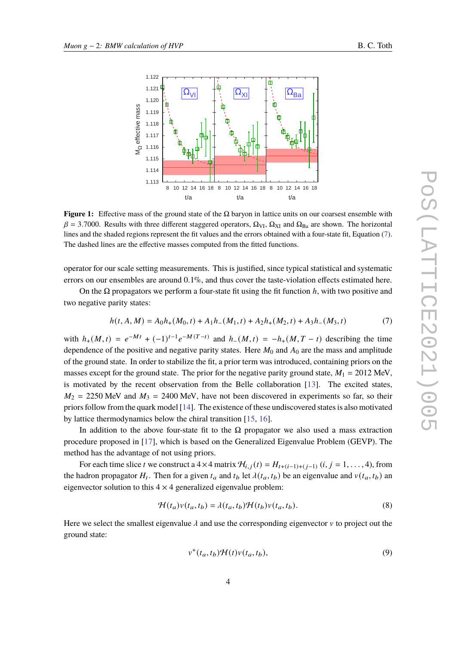<span id="page-3-0"></span>

**Figure 1:** Effective mass of the ground state of the  $\Omega$  baryon in lattice units on our coarsest ensemble with  $\beta$  = 3.7000. Results with three different staggered operators,  $\Omega_{VI}$ ,  $\Omega_{XI}$  and  $\Omega_{Ba}$  are shown. The horizontal lines and the shaded regions represent the fit values and the errors obtained with a four-state fit, Equation [\(7\)](#page-3-1). The dashed lines are the effective masses computed from the fitted functions.

operator for our scale setting measurements. This is justified, since typical statistical and systematic errors on our ensembles are around 0.1%, and thus cover the taste-violation effects estimated here.

On the  $\Omega$  propagators we perform a four-state fit using the fit function h, with two positive and two negative parity states:

<span id="page-3-1"></span>
$$
h(t, A, M) = A_0 h_+(M_0, t) + A_1 h_-(M_1, t) + A_2 h_+(M_2, t) + A_3 h_-(M_3, t)
$$
\n<sup>(7)</sup>

with  $h_+(M,t) = e^{-Mt} + (-1)^{t-1}e^{-M(T-t)}$  and  $h_-(M,t) = -h_+(M, T-t)$  describing the time dependence of the positive and negative parity states. Here  $M_0$  and  $A_0$  are the mass and amplitude of the ground state. In order to stabilize the fit, a prior term was introduced, containing priors on the masses except for the ground state. The prior for the negative parity ground state,  $M_1 = 2012$  MeV, is motivated by the recent observation from the Belle collaboration [\[13\]](#page-15-10). The excited states,  $M_2$  = 2250 MeV and  $M_3$  = 2400 MeV, have not been discovered in experiments so far, so their priors follow from the quark model [\[14\]](#page-15-11). The existence of these undiscovered states is also motivated by lattice thermodynamics below the chiral transition [\[15,](#page-16-0) [16](#page-16-1)].

In addition to the above four-state fit to the  $\Omega$  propagator we also used a mass extraction procedure proposed in [\[17](#page-16-2)], which is based on the Generalized Eigenvalue Problem (GEVP). The method has the advantage of not using priors.

For each time slice t we construct a  $4 \times 4$  matrix  $\mathcal{H}_{i,j}(t) = H_{t+(i-1)+(i-1)}(i, j = 1, \ldots, 4)$ , from the hadron propagator  $H_t$ . Then for a given  $t_a$  and  $t_b$  let  $\lambda(t_a, t_b)$  be an eigenvalue and  $v(t_a, t_b)$  an eigenvector solution to this  $4 \times 4$  generalized eigenvalue problem:

$$
\mathcal{H}(t_a)v(t_a, t_b) = \lambda(t_a, t_b)\mathcal{H}(t_b)v(t_a, t_b).
$$
\n(8)

Here we select the smallest eigenvalue  $\lambda$  and use the corresponding eigenvector  $\nu$  to project out the ground state:

$$
v^+(t_a, t_b) \mathcal{H}(t) v(t_a, t_b), \tag{9}
$$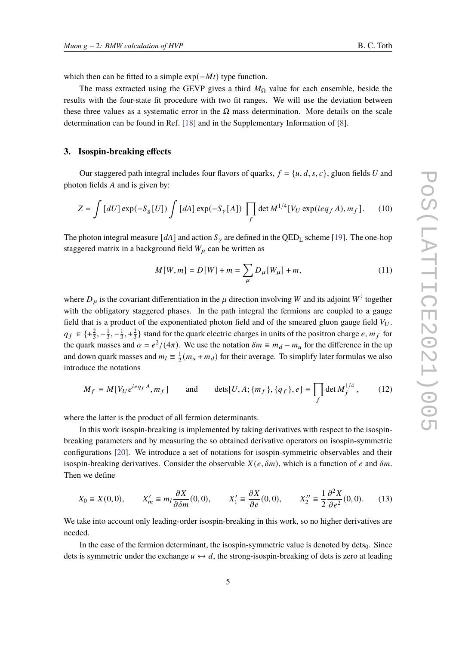which then can be fitted to a simple  $exp(-Mt)$  type function.

The mass extracted using the GEVP gives a third  $M_{\Omega}$  value for each ensemble, beside the results with the four-state fit procedure with two fit ranges. We will use the deviation between these three values as a systematic error in the  $\Omega$  mass determination. More details on the scale determination can be found in Ref. [\[18](#page-16-3)] and in the Supplementary Information of [\[8\]](#page-15-5).

#### **3. Isospin-breaking effects**

Our staggered path integral includes four flavors of quarks,  $f = \{u, d, s, c\}$ , gluon fields U and photon fields  $A$  and is given by:

$$
Z = \int [dU] \exp(-S_g[U]) \int [dA] \exp(-S_\gamma[A]) \prod_f \det M^{1/4}[V_U \exp(ieq_f A), m_f]. \tag{10}
$$

The photon integral measure [ $dA$ ] and action  $S_{\gamma}$  are defined in the QED<sub>L</sub> scheme [\[19](#page-16-4)]. The one-hop staggered matrix in a background field  $W_{\mu}$  can be written as

<span id="page-4-1"></span>
$$
M[W, m] = D[W] + m = \sum_{\mu} D_{\mu}[W_{\mu}] + m,
$$
\n(11)

where  $D_{\mu}$  is the covariant differentiation in the  $\mu$  direction involving W and its adjoint  $W^{\dagger}$  together with the obligatory staggered phases. In the path integral the fermions are coupled to a gauge field that is a product of the exponentiated photon field and of the smeared gluon gauge field  $V_U$ .  $q_f \in \{\pm \frac{2}{3}, -\frac{1}{3}\}$  $\frac{1}{3}, -\frac{1}{3}$  $\frac{1}{3}$ , + $\frac{2}{3}$  $\frac{2}{3}$ } stand for the quark electric charges in units of the positron charge *e*,  $m_f$  for the quark masses and  $\alpha = e^2/(4\pi)$ . We use the notation  $\delta m \equiv m_d - m_u$  for the difference in the up and down quark masses and  $m_l \equiv \frac{1}{2}$  $\frac{1}{2}(m_u + m_d)$  for their average. To simplify later formulas we also introduce the notations

$$
M_f \equiv M[V_U e^{ieq_f A}, m_f] \quad \text{and} \quad \text{dets}[U, A; \{m_f\}, \{q_f\}, e] \equiv \prod_f \text{det } M_f^{1/4}, \quad (12)
$$

where the latter is the product of all fermion determinants.

In this work isospin-breaking is implemented by taking derivatives with respect to the isospinbreaking parameters and by measuring the so obtained derivative operators on isospin-symmetric configurations [\[20\]](#page-16-5). We introduce a set of notations for isospin-symmetric observables and their isospin-breaking derivatives. Consider the observable  $X(e, \delta m)$ , which is a function of e and  $\delta m$ . Then we define

<span id="page-4-0"></span>
$$
X_0 \equiv X(0,0), \qquad X'_m \equiv m_l \frac{\partial X}{\partial \delta m}(0,0), \qquad X'_1 \equiv \frac{\partial X}{\partial e}(0,0), \qquad X''_2 \equiv \frac{1}{2} \frac{\partial^2 X}{\partial e^2}(0,0). \tag{13}
$$

We take into account only leading-order isospin-breaking in this work, so no higher derivatives are needed.

In the case of the fermion determinant, the isospin-symmetric value is denoted by dets $<sub>0</sub>$ . Since</sub> dets is symmetric under the exchange  $u \leftrightarrow d$ , the strong-isospin-breaking of dets is zero at leading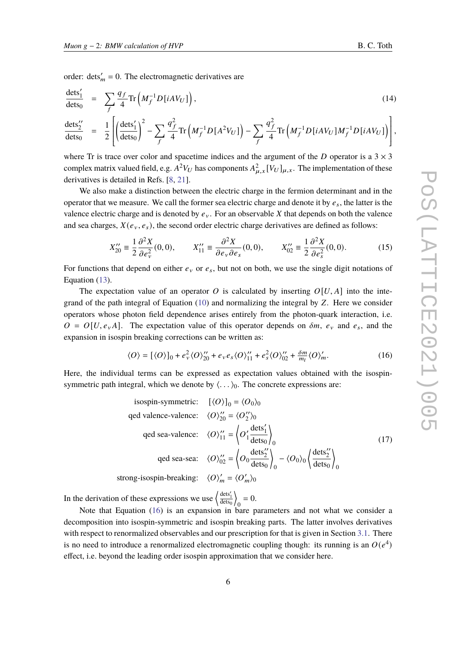order:  $\text{dets}'_m = 0$ . The electromagnetic derivatives are

$$
\frac{\text{dets}'_1}{\text{dets}_0} = \sum_f \frac{q_f}{4} \text{Tr}\left(M_f^{-1} D[iAV_U]\right),\tag{14}
$$

$$
\frac{\text{dets}_2''}{\text{dets}_0} = \frac{1}{2} \left[ \left( \frac{\text{dets}_1'}{\text{dets}_0} \right)^2 - \sum_f \frac{q_f^2}{4} \text{Tr} \left( M_f^{-1} D[A^2 V_U] \right) - \sum_f \frac{q_f^2}{4} \text{Tr} \left( M_f^{-1} D[iAV_U] M_f^{-1} D[iAV_U] \right) \right],
$$

where Tr is trace over color and spacetime indices and the argument of the D operator is a  $3 \times 3$ complex matrix valued field, e.g.  $A^2V_U$  has components  $A_{\mu,x}^2[V_U]_{\mu,x}$ . The implementation of these derivatives is detailed in Refs. [\[8](#page-15-5), [21](#page-16-6)].

We also make a distinction between the electric charge in the fermion determinant and in the operator that we measure. We call the former sea electric charge and denote it by  $e_s$ , the latter is the valence electric charge and is denoted by  $e_y$ . For an observable X that depends on both the valence and sea charges,  $X(e_v, e_s)$ , the second order electric charge derivatives are defined as follows:

$$
X_{20}^{"'} \equiv \frac{1}{2} \frac{\partial^2 X}{\partial e_v^2}(0,0), \qquad X_{11}^{"'} \equiv \frac{\partial^2 X}{\partial e_v \partial e_s}(0,0), \qquad X_{02}^{"'} \equiv \frac{1}{2} \frac{\partial^2 X}{\partial e_s^2}(0,0). \tag{15}
$$

For functions that depend on either  $e_y$  or  $e_s$ , but not on both, we use the single digit notations of Equation [\(13\)](#page-4-0).

The expectation value of an operator O is calculated by inserting  $O[U, A]$  into the integrand of the path integral of Equation  $(10)$  and normalizing the integral by Z. Here we consider operators whose photon field dependence arises entirely from the photon-quark interaction, i.e.  $O = O[U, e_{\nu}A]$ . The expectation value of this operator depends on  $\delta m$ ,  $e_{\nu}$  and  $e_s$ , and the expansion in isospin breaking corrections can be written as:

<span id="page-5-0"></span>
$$
\langle O \rangle = [\langle O \rangle]_0 + e_v^2 \langle O \rangle_{20}^{\prime\prime} + e_v e_s \langle O \rangle_{11}^{\prime\prime} + e_s^2 \langle O \rangle_{02}^{\prime\prime} + \frac{\delta m}{m_l} \langle O \rangle_m^{\prime}.
$$
 (16)

Here, the individual terms can be expressed as expectation values obtained with the isospinsymmetric path integral, which we denote by  $\langle \ldots \rangle_0$ . The concrete expressions are:

isospin-symmetric: 
$$
[\langle O \rangle]_0 = \langle O_0 \rangle_0
$$
  
\nged valence-valence:  $\langle O \rangle_{20}^{\prime\prime} = \langle O_2^{\prime\prime} \rangle_0$   
\nged sea-valence:  $\langle O \rangle_{11}^{\prime\prime} = \left\langle O_1^{\prime} \frac{\text{dets}_1^{\prime}}{\text{dets}_0} \right\rangle_0$   
\nged sea-sea:  $\langle O \rangle_{02}^{\prime\prime} = \left\langle O_0 \frac{\text{dets}_2^{\prime\prime}}{\text{dets}_0} \right\rangle_0 - \langle O_0 \rangle_0 \left\langle \frac{\text{dets}_2^{\prime\prime}}{\text{dets}_0} \right\rangle_0$   
\nstrong-isospin-breaking:  $\langle O \rangle_m^{\prime} = \langle O_m^{\prime} \rangle_0$ 

In the derivation of these expressions we use  $\left\langle \frac{\text{dests}'_1}{\text{dets}_0} \right\rangle$  $\overline{\phantom{a}}$  $_{0} = 0.$ 

Note that Equation [\(16\)](#page-5-0) is an expansion in bare parameters and not what we consider a decomposition into isospin-symmetric and isospin breaking parts. The latter involves derivatives with respect to renormalized observables and our prescription for that is given in Section [3.1.](#page-6-0) There is no need to introduce a renormalized electromagnetic coupling though: its running is an  $O(e^4)$ effect, i.e. beyond the leading order isospin approximation that we consider here.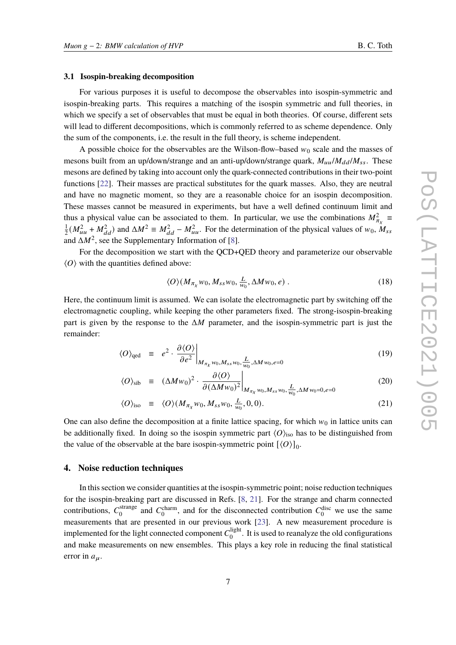#### <span id="page-6-0"></span>**3.1 Isospin-breaking decomposition**

For various purposes it is useful to decompose the observables into isospin-symmetric and isospin-breaking parts. This requires a matching of the isospin symmetric and full theories, in which we specify a set of observables that must be equal in both theories. Of course, different sets will lead to different decompositions, which is commonly referred to as scheme dependence. Only the sum of the components, i.e. the result in the full theory, is scheme independent.

A possible choice for the observables are the Wilson-flow–based  $w_0$  scale and the masses of mesons built from an up/down/strange and an anti-up/down/strange quark,  $M_{uu}/M_{dd}/M_{ss}$ . These mesons are defined by taking into account only the quark-connected contributions in their two-point functions [\[22\]](#page-16-7). Their masses are practical substitutes for the quark masses. Also, they are neutral and have no magnetic moment, so they are a reasonable choice for an isospin decomposition. These masses cannot be measured in experiments, but have a well defined continuum limit and thus a physical value can be associated to them. In particular, we use the combinations  $M_{\pi_\chi}^2 \equiv$ 1  $\frac{1}{2}(M_{uu}^2 + M_{dd}^2)$  and  $\Delta M^2 \equiv M_{dd}^2 - M_{uu}^2$ . For the determination of the physical values of  $w_0$ ,  $M_{ss}$ and  $\Delta M^2$ , see the Supplementary Information of [\[8](#page-15-5)].

For the decomposition we start with the QCD+QED theory and parameterize our observable  $\langle O \rangle$  with the quantities defined above:

$$
\langle O \rangle (M_{\pi_X} w_0, M_{ss} w_0, \frac{L}{w_0}, \Delta M w_0, e) \tag{18}
$$

Here, the continuum limit is assumed. We can isolate the electromagnetic part by switching off the electromagnetic coupling, while keeping the other parameters fixed. The strong-isospin-breaking part is given by the response to the  $\Delta M$  parameter, and the isospin-symmetric part is just the remainder:

$$
\langle O \rangle_{\text{qed}} \equiv e^2 \cdot \left. \frac{\partial \langle O \rangle}{\partial e^2} \right|_{M_{\pi_X} w_0, M_{ss} w_0, \frac{L}{w_0}, \Delta M w_0, e=0} \tag{19}
$$

$$
\langle O \rangle_{\text{sib}} \equiv (\Delta M w_0)^2 \cdot \frac{\partial \langle O \rangle}{\partial (\Delta M w_0)^2} \bigg|_{M_{\pi_\chi} w_0, M_{ss} w_0, \frac{L}{w_0}, \Delta M w_0 = 0, e = 0} \tag{20}
$$

$$
\langle O \rangle_{\text{iso}} \equiv \langle O \rangle (M_{\pi_X} w_0, M_{ss} w_0, \frac{L}{w_0}, 0, 0). \tag{21}
$$

One can also define the decomposition at a finite lattice spacing, for which  $w_0$  in lattice units can be additionally fixed. In doing so the isospin symmetric part  $\langle O \rangle_{\text{iso}}$  has to be distinguished from the value of the observable at the bare isospin-symmetric point  $[\langle O \rangle]_0$ .

#### **4. Noise reduction techniques**

In this section we consider quantities at the isospin-symmetric point; noise reduction techniques for the isospin-breaking part are discussed in Refs. [\[8](#page-15-5), [21\]](#page-16-6). For the strange and charm connected contributions,  $C_0^{\text{strange}}$ <sup>strange</sup> and  $C_0^{\text{charm}}$ , and for the disconnected contribution  $C_0^{\text{disc}}$  we use the same measurements that are presented in our previous work [\[23\]](#page-16-8). A new measurement procedure is implemented for the light connected component  $C_0^{\text{light}}$  $\frac{0}{0}$ . It is used to reanalyze the old configurations and make measurements on new ensembles. This plays a key role in reducing the final statistical error in  $a_{\mu}$ .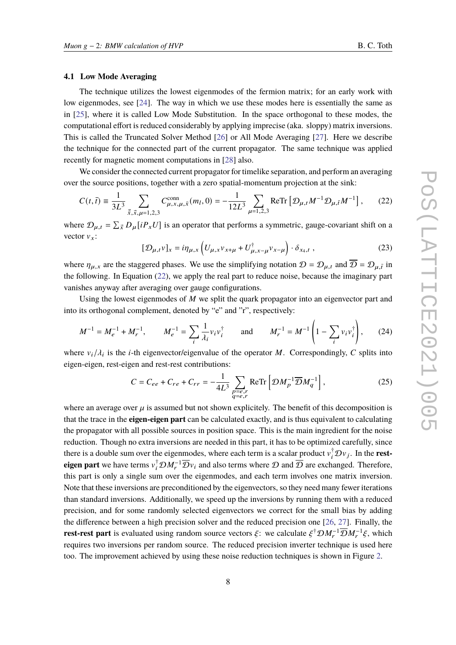#### **4.1 Low Mode Averaging**

The technique utilizes the lowest eigenmodes of the fermion matrix; for an early work with low eigenmodes, see [\[24\]](#page-16-9). The way in which we use these modes here is essentially the same as in [\[25](#page-16-10)], where it is called Low Mode Substitution. In the space orthogonal to these modes, the computational effort is reduced considerably by applying imprecise (aka. sloppy) matrix inversions. This is called the Truncated Solver Method [\[26\]](#page-16-11) or All Mode Averaging [\[27](#page-16-12)]. Here we describe the technique for the connected part of the current propagator. The same technique was applied recently for magnetic moment computations in [\[28](#page-16-13)] also.

We consider the connected current propagator for timelike separation, and perform an averaging over the source positions, together with a zero spatial-momentum projection at the sink:

$$
C(t,\bar{t}) \equiv \frac{1}{3L^3} \sum_{\vec{x},\vec{x},\mu=1,2,3} C_{\mu,x,\mu,\bar{x}}^{\text{conn}}(m_l,0) = -\frac{1}{12L^3} \sum_{\mu=1,2,3} \text{ReTr} \left[ \mathcal{D}_{\mu,t} M^{-1} \mathcal{D}_{\mu,\bar{t}} M^{-1} \right],\tag{22}
$$

where  $\mathcal{D}_{\mu,t} = \sum_{\vec{x}} D_{\mu}[iP_x U]$  is an operator that performs a symmetric, gauge-covariant shift on a vector  $v_{x}$ :

<span id="page-7-0"></span>
$$
[\mathcal{D}_{\mu,t}v]_x = i\eta_{\mu,x} \left( U_{\mu,x}v_{x+\mu} + U_{\mu,x-\mu}^{\dagger}v_{x-\mu} \right) \cdot \delta_{x_4,t} , \qquad (23)
$$

where  $\eta_{\mu,x}$  are the staggered phases. We use the simplifying notation  $\mathcal{D} = \mathcal{D}_{\mu,t}$  and  $\overline{\mathcal{D}} = \mathcal{D}_{\mu,\overline{t}}$  in the following. In Equation [\(22\)](#page-7-0), we apply the real part to reduce noise, because the imaginary part vanishes anyway after averaging over gauge configurations.

Using the lowest eigenmodes of  $M$  we split the quark propagator into an eigenvector part and into its orthogonal complement, denoted by "e" and "r", respectively:

$$
M^{-1} = M_e^{-1} + M_r^{-1}, \qquad M_e^{-1} = \sum_i \frac{1}{\lambda_i} v_i v_i^{\dagger} \qquad \text{and} \qquad M_r^{-1} = M^{-1} \left( 1 - \sum_i v_i v_i^{\dagger} \right), \tag{24}
$$

where  $v_i/\lambda_i$  is the *i*-th eigenvector/eigenvalue of the operator M. Correspondingly, C splits into eigen-eigen, rest-eigen and rest-rest contributions:

$$
C = C_{ee} + C_{re} + C_{rr} = -\frac{1}{4L^3} \sum_{\substack{p=e,r \ q=e,r}} \text{ReTr} \left[ \mathcal{D}M_p^{-1} \overline{\mathcal{D}} M_q^{-1} \right],
$$
 (25)

where an average over  $\mu$  is assumed but not shown explicitely. The benefit of this decomposition is that the trace in the **eigen-eigen part** can be calculated exactly, and is thus equivalent to calculating the propagator with all possible sources in position space. This is the main ingredient for the noise reduction. Though no extra inversions are needed in this part, it has to be optimized carefully, since there is a double sum over the eigenmodes, where each term is a scalar product  $v_i^{\dagger} \mathcal{D} v_j$ . In the **resteigen part** we have terms  $v_i^{\dagger} \mathcal{D} M_r^{-1} \overline{\mathcal{D}} v_i$  and also terms where  $\mathcal D$  and  $\overline{\mathcal D}$  are exchanged. Therefore, this part is only a single sum over the eigenmodes, and each term involves one matrix inversion. Note that these inversions are preconditioned by the eigenvectors, so they need many fewer iterations than standard inversions. Additionally, we speed up the inversions by running them with a reduced precision, and for some randomly selected eigenvectors we correct for the small bias by adding the difference between a high precision solver and the reduced precision one [\[26,](#page-16-11) [27](#page-16-12)]. Finally, the **rest-rest part** is evaluated using random source vectors  $\xi$ : we calculate  $\xi^{\dagger} \mathcal{D} M_r^{-1} \overline{\mathcal{D}} M_r^{-1} \xi$ , which requires two inversions per random source. The reduced precision inverter technique is used here too. The improvement achieved by using these noise reduction techniques is shown in Figure [2.](#page-8-0)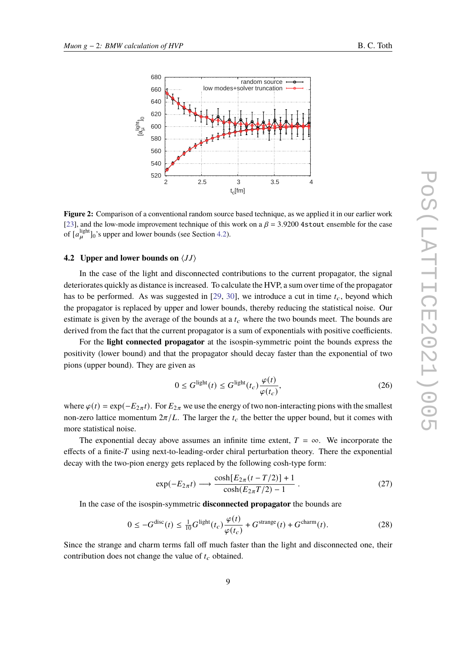<span id="page-8-0"></span>

**Figure 2:** Comparison of a conventional random source based technique, as we applied it in our earlier work [\[23\]](#page-16-8), and the low-mode improvement technique of this work on a  $\beta$  = 3.9200 4stout ensemble for the case of  $[a_{\mu}^{\text{light}}]_0$ 's upper and lower bounds (see Section [4.2\)](#page-8-1).

### <span id="page-8-1"></span>**4.2** Upper and lower bounds on  $\langle JJ \rangle$

In the case of the light and disconnected contributions to the current propagator, the signal deteriorates quickly as distance is increased. To calculate the HVP, a sum over time of the propagator has to be performed. As was suggested in [\[29](#page-16-14), [30](#page-17-0)], we introduce a cut in time  $t_c$ , beyond which the propagator is replaced by upper and lower bounds, thereby reducing the statistical noise. Our estimate is given by the average of the bounds at a  $t_c$  where the two bounds meet. The bounds are derived from the fact that the current propagator is a sum of exponentials with positive coefficients.

For the **light connected propagator** at the isospin-symmetric point the bounds express the positivity (lower bound) and that the propagator should decay faster than the exponential of two pions (upper bound). They are given as

$$
0 \le G^{\text{light}}(t) \le G^{\text{light}}(t_c) \frac{\varphi(t)}{\varphi(t_c)},\tag{26}
$$

where  $\varphi(t) = \exp(-E_{2\pi}t)$ . For  $E_{2\pi}$  we use the energy of two non-interacting pions with the smallest non-zero lattice momentum  $2\pi/L$ . The larger the  $t_c$  the better the upper bound, but it comes with more statistical noise.

The exponential decay above assumes an infinite time extent,  $T = \infty$ . We incorporate the effects of a finite- $T$  using next-to-leading-order chiral perturbation theory. There the exponential decay with the two-pion energy gets replaced by the following cosh-type form:

$$
\exp(-E_{2\pi}t) \longrightarrow \frac{\cosh[E_{2\pi}(t-T/2)]+1}{\cosh(E_{2\pi}T/2)-1}.
$$
\n(27)

In the case of the isospin-symmetric **disconnected propagator** the bounds are

$$
0 \le -G^{\text{disc}}(t) \le \frac{1}{10}G^{\text{light}}(t_c)\frac{\varphi(t)}{\varphi(t_c)} + G^{\text{strange}}(t) + G^{\text{charm}}(t). \tag{28}
$$

Since the strange and charm terms fall off much faster than the light and disconnected one, their contribution does not change the value of  $t_c$  obtained.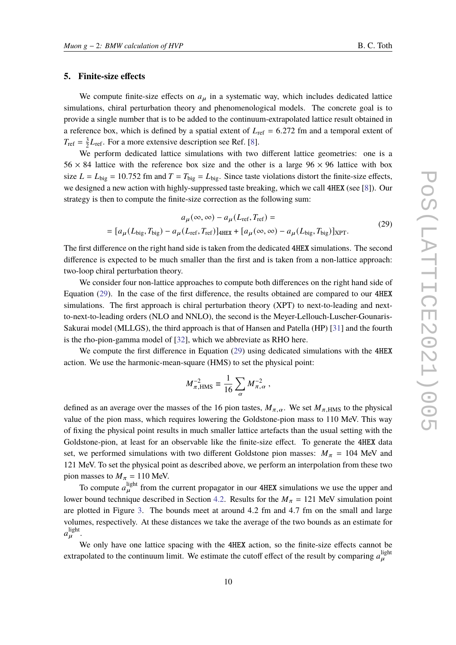### **5. Finite-size effects**

We compute finite-size effects on  $a<sub>µ</sub>$  in a systematic way, which includes dedicated lattice simulations, chiral perturbation theory and phenomenological models. The concrete goal is to provide a single number that is to be added to the continuum-extrapolated lattice result obtained in a reference box, which is defined by a spatial extent of  $L_{ref} = 6.272$  fm and a temporal extent of  $T_{\text{ref}} = \frac{3}{2}$  $\frac{3}{2}L_{\text{ref}}$ . For a more extensive description see Ref. [\[8](#page-15-5)].

We perform dedicated lattice simulations with two different lattice geometries: one is a  $56 \times 84$  lattice with the reference box size and the other is a large  $96 \times 96$  lattice with box size  $L = L_{\text{big}} = 10.752$  fm and  $T = T_{\text{big}} = L_{\text{big}}$ . Since taste violations distort the finite-size effects, we designed a new action with highly-suppressed taste breaking, which we call 4HEX (see [\[8](#page-15-5)]). Our strategy is then to compute the finite-size correction as the following sum:

<span id="page-9-0"></span>
$$
a_{\mu}(\infty, \infty) - a_{\mu}(L_{\text{ref}}, T_{\text{ref}}) =
$$
  
= 
$$
[a_{\mu}(L_{\text{big}}, T_{\text{big}}) - a_{\mu}(L_{\text{ref}}, T_{\text{ref}})]_{\text{4HEX}} + [a_{\mu}(\infty, \infty) - a_{\mu}(L_{\text{big}}, T_{\text{big}})]_{\text{XPT}}.
$$
 (29)

The first difference on the right hand side is taken from the dedicated 4HEX simulations. The second difference is expected to be much smaller than the first and is taken from a non-lattice approach: two-loop chiral perturbation theory.

We consider four non-lattice approaches to compute both differences on the right hand side of Equation [\(29\)](#page-9-0). In the case of the first difference, the results obtained are compared to our 4HEX simulations. The first approach is chiral perturbation theory (XPT) to next-to-leading and nextto-next-to-leading orders (NLO and NNLO), the second is the Meyer-Lellouch-Luscher-Gounaris-Sakurai model (MLLGS), the third approach is that of Hansen and Patella (HP) [\[31\]](#page-17-1) and the fourth is the rho-pion-gamma model of [\[32\]](#page-17-2), which we abbreviate as RHO here.

We compute the first difference in Equation [\(29\)](#page-9-0) using dedicated simulations with the 4HEX action. We use the harmonic-mean-square (HMS) to set the physical point:

$$
M_{\pi,\rm HMS}^{-2} \equiv \frac{1}{16} \sum_{\alpha} M_{\pi,\alpha}^{-2} ,
$$

defined as an average over the masses of the 16 pion tastes,  $M_{\pi,\alpha}$ . We set  $M_{\pi,\text{HMS}}$  to the physical value of the pion mass, which requires lowering the Goldstone-pion mass to 110 MeV. This way of fixing the physical point results in much smaller lattice artefacts than the usual setting with the Goldstone-pion, at least for an observable like the finite-size effect. To generate the 4HEX data set, we performed simulations with two different Goldstone pion masses:  $M_{\pi}$  = 104 MeV and 121 MeV. To set the physical point as described above, we perform an interpolation from these two pion masses to  $M_{\pi} = 110$  MeV.

To compute  $a_{\mu}^{\text{light}}$  from the current propagator in our 4HEX simulations we use the upper and lower bound technique described in Section [4.2.](#page-8-1) Results for the  $M_{\pi} = 121$  MeV simulation point are plotted in Figure [3.](#page-10-0) The bounds meet at around 4.2 fm and 4.7 fm on the small and large volumes, respectively. At these distances we take the average of the two bounds as an estimate for  $a_\mu^{\rm light}$ .

We only have one lattice spacing with the 4HEX action, so the finite-size effects cannot be extrapolated to the continuum limit. We estimate the cutoff effect of the result by comparing  $a_{\mu}^{\text{light}}$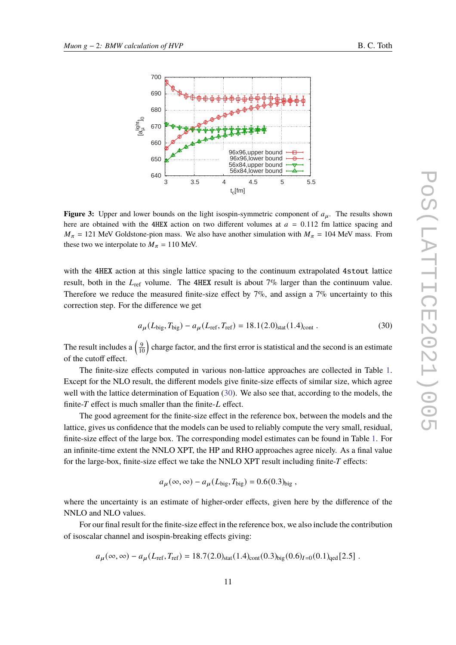<span id="page-10-0"></span>

**Figure 3:** Upper and lower bounds on the light isospin-symmetric component of  $a_{\mu}$ . The results shown here are obtained with the 4HEX action on two different volumes at  $a = 0.112$  fm lattice spacing and  $M_{\pi}$  = 121 MeV Goldstone-pion mass. We also have another simulation with  $M_{\pi}$  = 104 MeV mass. From these two we interpolate to  $M_{\pi} = 110$  MeV.

with the 4HEX action at this single lattice spacing to the continuum extrapolated 4stout lattice result, both in the  $L_{\text{ref}}$  volume. The 4HEX result is about 7% larger than the continuum value. Therefore we reduce the measured finite-size effect by  $7\%$ , and assign a  $7\%$  uncertainty to this correction step. For the difference we get

<span id="page-10-1"></span>
$$
a_{\mu}(L_{\text{big}}, T_{\text{big}}) - a_{\mu}(L_{\text{ref}}, T_{\text{ref}}) = 18.1(2.0)_{\text{stat}}(1.4)_{\text{cont}}.
$$
 (30)

The result includes a  $\left(\frac{9}{10}\right)$  charge factor, and the first error is statistical and the second is an estimate of the cutoff effect.

The finite-size effects computed in various non-lattice approaches are collected in Table [1.](#page-11-0) Except for the NLO result, the different models give finite-size effects of similar size, which agree well with the lattice determination of Equation [\(30\)](#page-10-1). We also see that, according to the models, the finite- $T$  effect is much smaller than the finite- $L$  effect.

The good agreement for the finite-size effect in the reference box, between the models and the lattice, gives us confidence that the models can be used to reliably compute the very small, residual, finite-size effect of the large box. The corresponding model estimates can be found in Table [1.](#page-11-0) For an infinite-time extent the NNLO XPT, the HP and RHO approaches agree nicely. As a final value for the large-box, finite-size effect we take the NNLO XPT result including finite- $T$  effects:

$$
a_{\mu}(\infty,\infty) - a_{\mu}(L_{\text{big}},T_{\text{big}}) = 0.6(0.3)_{\text{big}},
$$

where the uncertainty is an estimate of higher-order effects, given here by the difference of the NNLO and NLO values.

For our final result for the finite-size effect in the reference box, we also include the contribution of isoscalar channel and isospin-breaking effects giving:

$$
a_{\mu}(\infty,\infty) - a_{\mu}(L_{\text{ref}},T_{\text{ref}}) = 18.7(2.0)_{\text{stat}}(1.4)_{\text{cont}}(0.3)_{\text{big}}(0.6)_{I=0}(0.1)_{\text{qed}}[2.5].
$$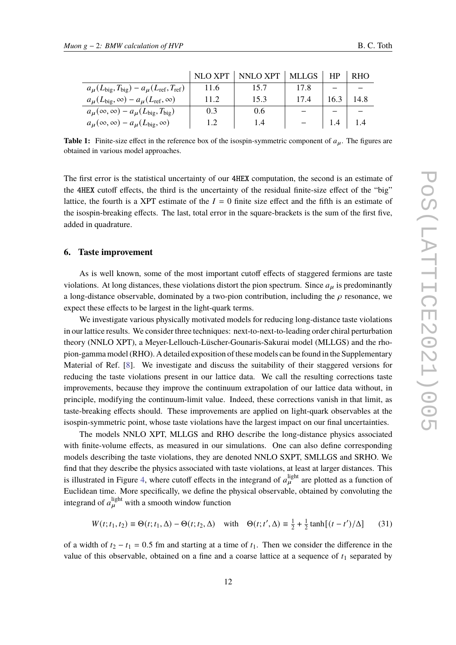<span id="page-11-0"></span>

|                                                                                     | <b>NLO XPT</b> | NNLO XPT | <b>MLLGS</b> | HP   | <b>RHO</b> |
|-------------------------------------------------------------------------------------|----------------|----------|--------------|------|------------|
| $a_{\mu}(L_{\text{big}}, T_{\text{big}}) - a_{\mu}(L_{\text{ref}}, T_{\text{ref}})$ | 11.6           | 15.7     | 17.8         |      |            |
| $a_{\mu}(L_{\text{big}}, \infty) - a_{\mu}(L_{\text{ref}}, \infty)$                 | 11.2           | 15.3     | 17.4         | 16.3 | 14.8       |
| $a_{\mu}(\infty, \infty) - a_{\mu}(L_{\text{big}}, T_{\text{big}})$                 | 0.3            | 0.6      |              |      |            |
| $a_{\mu}(\infty, \infty) - a_{\mu}(L_{\text{big}}, \infty)$                         | 1.2            | 1.4      |              | 1.4  |            |

**Table 1:** Finite-size effect in the reference box of the isospin-symmetric component of  $a<sub>u</sub>$ . The figures are obtained in various model approaches.

The first error is the statistical uncertainty of our 4HEX computation, the second is an estimate of the 4HEX cutoff effects, the third is the uncertainty of the residual finite-size effect of the "big" lattice, the fourth is a XPT estimate of the  $I = 0$  finite size effect and the fifth is an estimate of the isospin-breaking effects. The last, total error in the square-brackets is the sum of the first five, added in quadrature.

#### **6. Taste improvement**

As is well known, some of the most important cutoff effects of staggered fermions are taste violations. At long distances, these violations distort the pion spectrum. Since  $a<sub>u</sub>$  is predominantly a long-distance observable, dominated by a two-pion contribution, including the  $\rho$  resonance, we expect these effects to be largest in the light-quark terms.

We investigate various physically motivated models for reducing long-distance taste violations in our lattice results. We consider three techniques: next-to-next-to-leading order chiral perturbation theory (NNLO XPT), a Meyer-Lellouch-Lüscher-Gounaris-Sakurai model (MLLGS) and the rhopion-gamma model (RHO). A detailed exposition of these models can be found in the Supplementary Material of Ref. [\[8\]](#page-15-5). We investigate and discuss the suitability of their staggered versions for reducing the taste violations present in our lattice data. We call the resulting corrections taste improvements, because they improve the continuum extrapolation of our lattice data without, in principle, modifying the continuum-limit value. Indeed, these corrections vanish in that limit, as taste-breaking effects should. These improvements are applied on light-quark observables at the isospin-symmetric point, whose taste violations have the largest impact on our final uncertainties.

The models NNLO XPT, MLLGS and RHO describe the long-distance physics associated with finite-volume effects, as measured in our simulations. One can also define corresponding models describing the taste violations, they are denoted NNLO SXPT, SMLLGS and SRHO. We find that they describe the physics associated with taste violations, at least at larger distances. This is illustrated in Figure [4,](#page-13-0) where cutoff effects in the integrand of  $a_{\mu}^{\text{light}}$  are plotted as a function of Euclidean time. More specifically, we define the physical observable, obtained by convoluting the integrand of  $a_{\mu}^{\text{light}}$  with a smooth window function

<span id="page-11-1"></span>
$$
W(t; t_1, t_2) \equiv \Theta(t; t_1, \Delta) - \Theta(t; t_2, \Delta) \quad \text{with} \quad \Theta(t; t', \Delta) \equiv \frac{1}{2} + \frac{1}{2} \tanh\left[\frac{(t - t')}{\Delta}\right] \tag{31}
$$

of a width of  $t_2 - t_1 = 0.5$  fm and starting at a time of  $t_1$ . Then we consider the difference in the value of this observable, obtained on a fine and a coarse lattice at a sequence of  $t_1$  separated by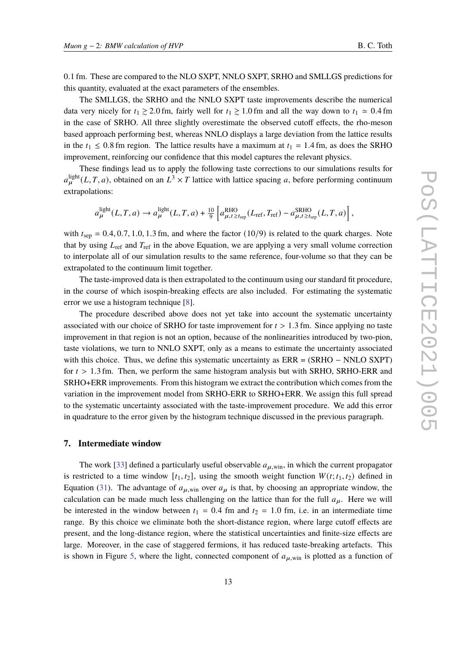0.1 fm. These are compared to the NLO SXPT, NNLO SXPT, SRHO and SMLLGS predictions for this quantity, evaluated at the exact parameters of the ensembles.

The SMLLGS, the SRHO and the NNLO SXPT taste improvements describe the numerical data very nicely for  $t_1 \ge 2.0$  fm, fairly well for  $t_1 \ge 1.0$  fm and all the way down to  $t_1 \approx 0.4$  fm in the case of SRHO. All three slightly overestimate the observed cutoff effects, the rho-meson based approach performing best, whereas NNLO displays a large deviation from the lattice results in the  $t_1 \le 0.8$  fm region. The lattice results have a maximum at  $t_1 = 1.4$  fm, as does the SRHO improvement, reinforcing our confidence that this model captures the relevant physics.

These findings lead us to apply the following taste corrections to our simulations results for  $a_{\mu}^{\text{light}}(L, T, a)$ , obtained on an  $L^3 \times T$  lattice with lattice spacing a, before performing continuum extrapolations:

$$
a_{\mu}^{\text{light}}(L, T, a) \rightarrow a_{\mu}^{\text{light}}(L, T, a) + \frac{10}{9} \left[ a_{\mu, t \ge t_{\text{sep}}}^{\text{RHO}}(L_{\text{ref}}, T_{\text{ref}}) - a_{\mu, t \ge t_{\text{sep}}}^{\text{SRHO}}(L, T, a) \right],
$$

with  $t_{\rm sep} = 0.4, 0.7, 1.0, 1.3$  fm, and where the factor (10/9) is related to the quark charges. Note that by using  $L_{ref}$  and  $T_{ref}$  in the above Equation, we are applying a very small volume correction to interpolate all of our simulation results to the same reference, four-volume so that they can be extrapolated to the continuum limit together.

The taste-improved data is then extrapolated to the continuum using our standard fit procedure, in the course of which isospin-breaking effects are also included. For estimating the systematic error we use a histogram technique [\[8\]](#page-15-5).

The procedure described above does not yet take into account the systematic uncertainty associated with our choice of SRHO for taste improvement for  $t > 1.3$  fm. Since applying no taste improvement in that region is not an option, because of the nonlinearities introduced by two-pion, taste violations, we turn to NNLO SXPT, only as a means to estimate the uncertainty associated with this choice. Thus, we define this systematic uncertainty as ERR = (SRHO − NNLO SXPT) for  $t > 1.3$  fm. Then, we perform the same histogram analysis but with SRHO, SRHO-ERR and SRHO+ERR improvements. From this histogram we extract the contribution which comes from the variation in the improvement model from SRHO-ERR to SRHO+ERR. We assign this full spread to the systematic uncertainty associated with the taste-improvement procedure. We add this error in quadrature to the error given by the histogram technique discussed in the previous paragraph.

### **7. Intermediate window**

The work [\[33](#page-17-3)] defined a particularly useful observable  $a_{\mu \text{ win}}$ , in which the current propagator is restricted to a time window  $[t_1, t_2]$ , using the smooth weight function  $W(t; t_1, t_2)$  defined in Equation [\(31\)](#page-11-1). The advantage of  $a_{\mu, \text{win}}$  over  $a_{\mu}$  is that, by choosing an appropriate window, the calculation can be made much less challenging on the lattice than for the full  $a<sub>u</sub>$ . Here we will be interested in the window between  $t_1 = 0.4$  fm and  $t_2 = 1.0$  fm, i.e. in an intermediate time range. By this choice we eliminate both the short-distance region, where large cutoff effects are present, and the long-distance region, where the statistical uncertainties and finite-size effects are large. Moreover, in the case of staggered fermions, it has reduced taste-breaking artefacts. This is shown in Figure [5,](#page-14-0) where the light, connected component of  $a_{\mu,\text{win}}$  is plotted as a function of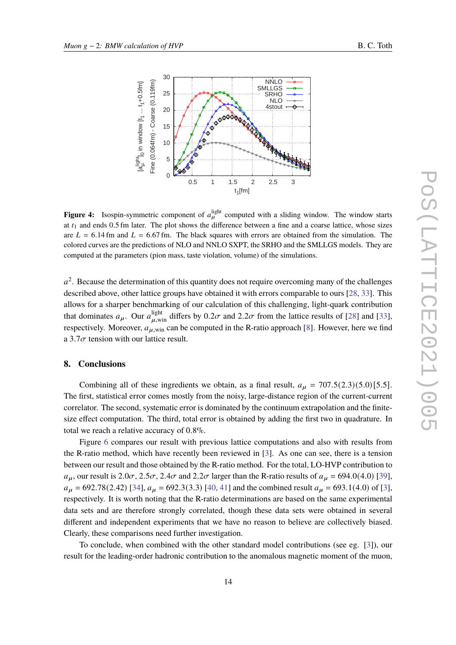

<span id="page-13-0"></span>

**Figure 4:** Isospin-symmetric component of  $a_{\mu}^{\text{light}}$  computed with a sliding window. The window starts at  $t_1$  and ends 0.5 fm later. The plot shows the difference between a fine and a coarse lattice, whose sizes are  $L = 6.14$  fm and  $L = 6.67$  fm. The black squares with errors are obtained from the simulation. The colored curves are the predictions of NLO and NNLO SXPT, the SRHO and the SMLLGS models. They are computed at the parameters (pion mass, taste violation, volume) of the simulations.

 $a^2$ . Because the determination of this quantity does not require overcoming many of the challenges described above, other lattice groups have obtained it with errors comparable to ours [\[28](#page-16-13), [33](#page-17-3)]. This allows for a sharper benchmarking of our calculation of this challenging, light-quark contribution that dominates  $a_{\mu}$ . Our  $a_{\mu,\text{win}}^{\text{light}}$  differs by  $0.2\sigma$  and  $2.2\sigma$  from the lattice results of [\[28](#page-16-13)] and [\[33\]](#page-17-3), respectively. Moreover,  $a_{\mu,\text{win}}$  can be computed in the R-ratio approach [\[8\]](#page-15-5). However, here we find a 3.7 $\sigma$  tension with our lattice result.

## **8. Conclusions**

Combining all of these ingredients we obtain, as a final result,  $a_{\mu} = 707.5(2.3)(5.0)[5.5]$ . The first, statistical error comes mostly from the noisy, large-distance region of the current-current correlator. The second, systematic error is dominated by the continuum extrapolation and the finitesize effect computation. The third, total error is obtained by adding the first two in quadrature. In total we reach a relative accuracy of 0.8%.

Figure [6](#page-14-1) compares our result with previous lattice computations and also with results from the R-ratio method, which have recently been reviewed in [\[3](#page-15-2)]. As one can see, there is a tension between our result and those obtained by the R-ratio method. For the total, LO-HVP contribution to  $a_{\mu}$ , our result is 2.0 $\sigma$ , 2.5 $\sigma$ , 2.4 $\sigma$  and 2.2 $\sigma$  larger than the R-ratio results of  $a_{\mu} = 694.0(4.0)$  [\[39\]](#page-17-4),  $a_{\mu}$  = 692.78(2.42) [\[34](#page-17-5)],  $a_{\mu}$  = 692.3(3.3) [\[40,](#page-17-6) [41\]](#page-17-7) and the combined result  $a_{\mu}$  = 693.1(4.0) of [\[3\]](#page-15-2), respectively. It is worth noting that the R-ratio determinations are based on the same experimental data sets and are therefore strongly correlated, though these data sets were obtained in several different and independent experiments that we have no reason to believe are collectively biased. Clearly, these comparisons need further investigation.

To conclude, when combined with the other standard model contributions (see eg. [\[3\]](#page-15-2)), our result for the leading-order hadronic contribution to the anomalous magnetic moment of the muon,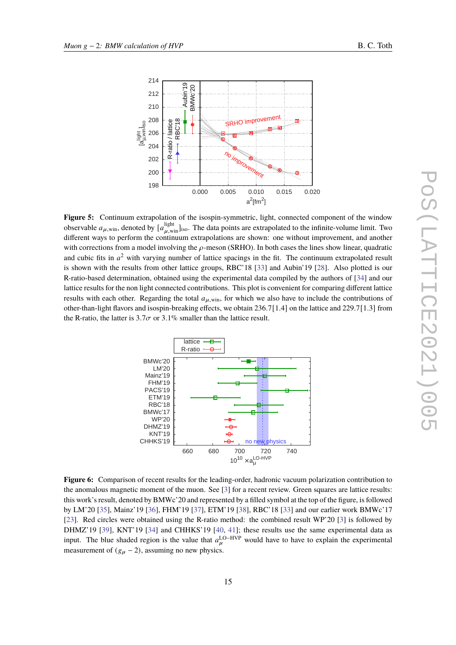<span id="page-14-0"></span>

**Figure 5:** Continuum extrapolation of the isospin-symmetric, light, connected component of the window observable  $a_{\mu, \text{win}}$ , denoted by  $[a_{\mu, \text{win}}^{\text{light}}]_{\text{iso}}$ . The data points are extrapolated to the infinite-volume limit. Two different ways to perform the continuum extrapolations are shown: one without improvement, and another with corrections from a model involving the  $\rho$ -meson (SRHO). In both cases the lines show linear, quadratic and cubic fits in  $a^2$  with varying number of lattice spacings in the fit. The continuum extrapolated result is shown with the results from other lattice groups, RBC'18 [\[33](#page-17-3)] and Aubin'19 [\[28\]](#page-16-13). Also plotted is our R-ratio-based determination, obtained using the experimental data compiled by the authors of [\[34](#page-17-5)] and our lattice results for the non light connected contributions. This plot is convenient for comparing different lattice results with each other. Regarding the total  $a<sub>u</sub>$  win, for which we also have to include the contributions of other-than-light flavors and isospin-breaking effects, we obtain 236.7[1.4] on the lattice and 229.7[1.3] from the R-ratio, the latter is  $3.7\sigma$  or  $3.1\%$  smaller than the lattice result.

<span id="page-14-1"></span>

**Figure 6:** Comparison of recent results for the leading-order, hadronic vacuum polarization contribution to the anomalous magnetic moment of the muon. See [\[3](#page-15-2)] for a recent review. Green squares are lattice results: this work's result, denoted by BMWc'20 and represented by a filled symbol at the top of the figure, is followed by LM'20 [\[35\]](#page-17-8), Mainz'19 [\[36](#page-17-9)], FHM'19 [\[37\]](#page-17-10), ETM'19 [\[38\]](#page-17-11), RBC'18 [\[33](#page-17-3)] and our earlier work BMWc'17 [\[23\]](#page-16-8). Red circles were obtained using the R-ratio method: the combined result WP'20 [\[3](#page-15-2)] is followed by DHMZ'19 [\[39\]](#page-17-4), KNT'19 [\[34](#page-17-5)] and CHHKS'19 [\[40,](#page-17-6) [41\]](#page-17-7); these results use the same experimental data as input. The blue shaded region is the value that  $a_{\mu}^{\text{LO-HVP}}$  would have to have to explain the experimental measurement of  $(g_{\mu} - 2)$ , assuming no new physics.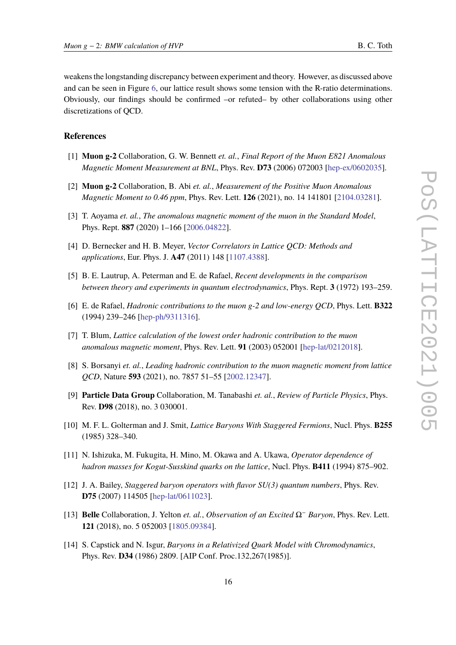weakens the longstanding discrepancy between experiment and theory. However, as discussed above and can be seen in Figure [6,](#page-14-1) our lattice result shows some tension with the R-ratio determinations. Obviously, our findings should be confirmed –or refuted– by other collaborations using other discretizations of QCD.

## **References**

- <span id="page-15-0"></span>[1] **Muon g-2** Collaboration, G. W. Bennett *et. al.*, *Final Report of the Muon E821 Anomalous Magnetic Moment Measurement at BNL*, Phys. Rev. **D73** (2006) 072003 [\[hep-ex/0602035\]](http://arXiv.org/abs/hep-ex/0602035).
- <span id="page-15-1"></span>[2] **Muon g-2** Collaboration, B. Abi *et. al.*, *Measurement of the Positive Muon Anomalous Magnetic Moment to 0.46 ppm*, Phys. Rev. Lett. **126** (2021), no. 14 141801 [\[2104.03281\]](http://arXiv.org/abs/2104.03281).
- <span id="page-15-2"></span>[3] T. Aoyama *et. al.*, *The anomalous magnetic moment of the muon in the Standard Model*, Phys. Rept. **887** (2020) 1–166 [\[2006.04822\]](http://arXiv.org/abs/2006.04822).
- <span id="page-15-3"></span>[4] D. Bernecker and H. B. Meyer, *Vector Correlators in Lattice QCD: Methods and applications*, Eur. Phys. J. **A47** (2011) 148 [\[1107.4388\]](http://arXiv.org/abs/1107.4388).
- [5] B. E. Lautrup, A. Peterman and E. de Rafael, *Recent developments in the comparison between theory and experiments in quantum electrodynamics*, Phys. Rept. **3** (1972) 193–259.
- [6] E. de Rafael, *Hadronic contributions to the muon g-2 and low-energy QCD*, Phys. Lett. **B322** (1994) 239–246 [\[hep-ph/9311316\]](http://arXiv.org/abs/hep-ph/9311316).
- <span id="page-15-4"></span>[7] T. Blum, *Lattice calculation of the lowest order hadronic contribution to the muon anomalous magnetic moment*, Phys. Rev. Lett. **91** (2003) 052001 [\[hep-lat/0212018\]](http://arXiv.org/abs/hep-lat/0212018).
- <span id="page-15-5"></span>[8] S. Borsanyi *et. al.*, *Leading hadronic contribution to the muon magnetic moment from lattice QCD*, Nature **593** (2021), no. 7857 51–55 [\[2002.12347\]](http://arXiv.org/abs/2002.12347).
- <span id="page-15-6"></span>[9] **Particle Data Group** Collaboration, M. Tanabashi *et. al.*, *Review of Particle Physics*, Phys. Rev. **D98** (2018), no. 3 030001.
- <span id="page-15-7"></span>[10] M. F. L. Golterman and J. Smit, *Lattice Baryons With Staggered Fermions*, Nucl. Phys. **B255** (1985) 328–340.
- <span id="page-15-8"></span>[11] N. Ishizuka, M. Fukugita, H. Mino, M. Okawa and A. Ukawa, *Operator dependence of hadron masses for Kogut-Susskind quarks on the lattice*, Nucl. Phys. **B411** (1994) 875–902.
- <span id="page-15-9"></span>[12] J. A. Bailey, *Staggered baryon operators with flavor SU(3) quantum numbers*, Phys. Rev. **D75** (2007) 114505 [\[hep-lat/0611023\]](http://arXiv.org/abs/hep-lat/0611023).
- <span id="page-15-10"></span>[13] **Belle** Collaboration, J. Yelton *et. al.*, *Observation of an Excited* Ω<sup>−</sup> *Baryon*, Phys. Rev. Lett. **121** (2018), no. 5 052003 [\[1805.09384\]](http://arXiv.org/abs/1805.09384).
- <span id="page-15-11"></span>[14] S. Capstick and N. Isgur, *Baryons in a Relativized Quark Model with Chromodynamics*, Phys. Rev. **D34** (1986) 2809. [AIP Conf. Proc.132,267(1985)].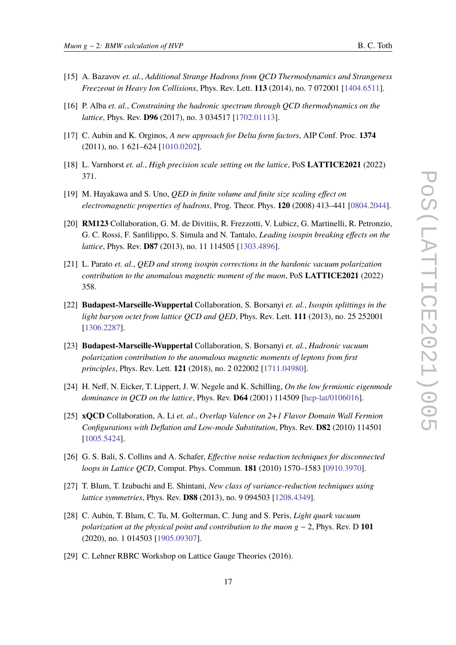- <span id="page-16-0"></span>[15] A. Bazavov *et. al.*, *Additional Strange Hadrons from QCD Thermodynamics and Strangeness Freezeout in Heavy Ion Collisions*, Phys. Rev. Lett. **113** (2014), no. 7 072001 [\[1404.6511\]](http://arXiv.org/abs/1404.6511).
- <span id="page-16-1"></span>[16] P. Alba *et. al.*, *Constraining the hadronic spectrum through QCD thermodynamics on the lattice*, Phys. Rev. **D96** (2017), no. 3 034517 [\[1702.01113\]](http://arXiv.org/abs/1702.01113).
- <span id="page-16-2"></span>[17] C. Aubin and K. Orginos, *A new approach for Delta form factors*, AIP Conf. Proc. **1374** (2011), no. 1 621–624 [\[1010.0202\]](http://arXiv.org/abs/1010.0202).
- <span id="page-16-3"></span>[18] L. Varnhorst *et. al.*, *High precision scale setting on the lattice*, PoS **LATTICE2021** (2022) 371.
- <span id="page-16-4"></span>[19] M. Hayakawa and S. Uno, *QED in finite volume and finite size scaling effect on electromagnetic properties of hadrons*, Prog. Theor. Phys. **120** (2008) 413–441 [\[0804.2044\]](http://arXiv.org/abs/0804.2044).
- <span id="page-16-5"></span>[20] **RM123** Collaboration, G. M. de Divitiis, R. Frezzotti, V. Lubicz, G. Martinelli, R. Petronzio, G. C. Rossi, F. Sanfilippo, S. Simula and N. Tantalo, *Leading isospin breaking effects on the lattice*, Phys. Rev. **D87** (2013), no. 11 114505 [\[1303.4896\]](http://arXiv.org/abs/1303.4896).
- <span id="page-16-6"></span>[21] L. Parato *et. al.*, *QED and strong isospin corrections in the hardonic vacuum polarization contribution to the anomalous magnetic moment of the muon*, PoS **LATTICE2021** (2022) 358.
- <span id="page-16-7"></span>[22] **Budapest-Marseille-Wuppertal** Collaboration, S. Borsanyi *et. al.*, *Isospin splittings in the light baryon octet from lattice QCD and QED*, Phys. Rev. Lett. **111** (2013), no. 25 252001 [\[1306.2287\]](http://arXiv.org/abs/1306.2287).
- <span id="page-16-8"></span>[23] **Budapest-Marseille-Wuppertal** Collaboration, S. Borsanyi *et. al.*, *Hadronic vacuum polarization contribution to the anomalous magnetic moments of leptons from first principles*, Phys. Rev. Lett. **121** (2018), no. 2 022002 [\[1711.04980\]](http://arXiv.org/abs/1711.04980).
- <span id="page-16-9"></span>[24] H. Neff, N. Eicker, T. Lippert, J. W. Negele and K. Schilling, *On the low fermionic eigenmode dominance in QCD on the lattice*, Phys. Rev. **D64** (2001) 114509 [\[hep-lat/0106016\]](http://arXiv.org/abs/hep-lat/0106016).
- <span id="page-16-10"></span>[25] **xQCD** Collaboration, A. Li *et. al.*, *Overlap Valence on 2+1 Flavor Domain Wall Fermion Configurations with Deflation and Low-mode Substitution*, Phys. Rev. **D82** (2010) 114501 [\[1005.5424\]](http://arXiv.org/abs/1005.5424).
- <span id="page-16-11"></span>[26] G. S. Bali, S. Collins and A. Schafer, *Effective noise reduction techniques for disconnected loops in Lattice QCD*, Comput. Phys. Commun. **181** (2010) 1570–1583 [\[0910.3970\]](http://arXiv.org/abs/0910.3970).
- <span id="page-16-12"></span>[27] T. Blum, T. Izubuchi and E. Shintani, *New class of variance-reduction techniques using lattice symmetries*, Phys. Rev. **D88** (2013), no. 9 094503 [\[1208.4349\]](http://arXiv.org/abs/1208.4349).
- <span id="page-16-13"></span>[28] C. Aubin, T. Blum, C. Tu, M. Golterman, C. Jung and S. Peris, *Light quark vacuum polarization at the physical point and contribution to the muon*  $g - 2$ , Phys. Rev. D **101** (2020), no. 1 014503 [\[1905.09307\]](http://arXiv.org/abs/1905.09307).
- <span id="page-16-14"></span>[29] C. Lehner RBRC Workshop on Lattice Gauge Theories (2016).